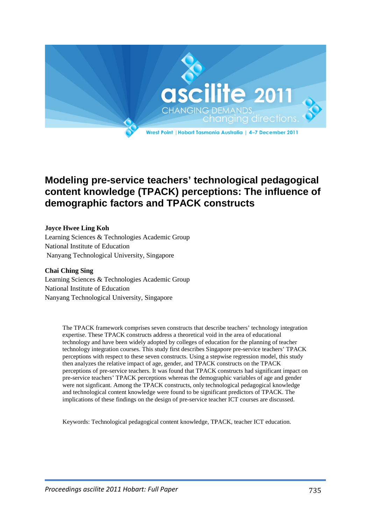

# **Modeling pre-service teachers' technological pedagogical content knowledge (TPACK) perceptions: The influence of demographic factors and TPACK constructs**

### **Joyce Hwee Ling Koh**

Learning Sciences & Technologies Academic Group National Institute of Education Nanyang Technological University, Singapore

#### **Chai Ching Sing**

Learning Sciences & Technologies Academic Group National Institute of Education Nanyang Technological University, Singapore

> The TPACK framework comprises seven constructs that describe teachers' technology integration expertise. These TPACK constructs address a theoretical void in the area of educational technology and have been widely adopted by colleges of education for the planning of teacher technology integration courses. This study first describes Singapore pre-service teachers' TPACK perceptions with respect to these seven constructs. Using a stepwise regression model, this study then analyzes the relative impact of age, gender, and TPACK constructs on the TPACK perceptions of pre-service teachers. It was found that TPACK constructs had significant impact on pre-service teachers' TPACK perceptions whereas the demographic variables of age and gender were not signficant. Among the TPACK constructs, only technological pedagogical knowledge and technological content knowledge were found to be significant predictors of TPACK. The implications of these findings on the design of pre-service teacher ICT courses are discussed.

Keywords: Technological pedagogical content knowledge, TPACK, teacher ICT education.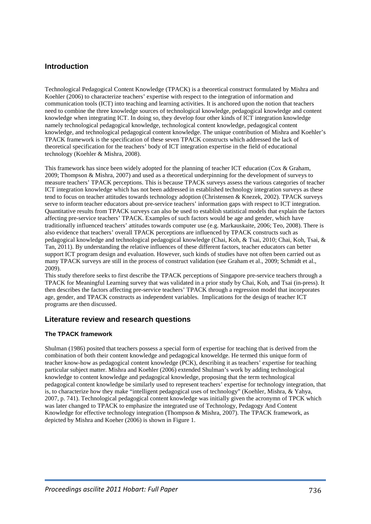### **Introduction**

Technological Pedagogical Content Knowledge (TPACK) is a theoretical construct formulated by Mishra and Koehler (2006) to characterize teachers' expertise with respect to the integration of information and communication tools (ICT) into teaching and learning activities. It is anchored upon the notion that teachers need to combine the three knowledge sources of technological knowledge, pedagogical knowledge and content knowledge when integrating ICT. In doing so, they develop four other kinds of ICT integration knowledge namely technological pedagogical knowledge, technological content knowledge, pedagogical content knowledge, and technological pedagogical content knowledge. The unique contribution of Mishra and Koehler's TPACK framework is the specification of these seven TPACK constructs which addressed the lack of theoretical specification for the teachers' body of ICT integration expertise in the field of educational technology (Koehler & Mishra, 2008).

This framework has since been widely adopted for the planning of teacher ICT education (Cox & Graham, 2009; Thompson & Mishra, 2007) and used as a theoretical underpinning for the development of surveys to measure teachers' TPACK perceptions. This is because TPACK surveys assess the various categories of teacher ICT integration knowledge which has not been addressed in established technology integration surveys as these tend to focus on teacher attitudes towards technology adoption (Christensen & Knezek, 2002). TPACK surveys serve to inform teacher educators about pre-service teachers' information gaps with respect to ICT integration. Quantitative results from TPACK surveys can also be used to establish statistical models that explain the factors affecting pre-service teachers' TPACK. Examples of such factors would be age and gender, which have traditionally influenced teachers' attitudes towards computer use (e.g. Markauskaite, 2006; Teo, 2008). There is also evidence that teachers' overall TPACK perceptions are influenced by TPACK constructs such as pedagogical knowledge and technological pedagogical knowledge (Chai, Koh, & Tsai, 2010; Chai, Koh, Tsai, & Tan, 2011). By understanding the relative influences of these different factors, teacher educators can better support ICT program design and evaluation. However, such kinds of studies have not often been carried out as many TPACK surveys are still in the process of construct validation (see Graham et al., 2009; Schmidt et al., 2009).

This study therefore seeks to first describe the TPACK perceptions of Singapore pre-service teachers through a TPACK for Meaningful Learning survey that was validated in a prior study by Chai, Koh, and Tsai (in-press). It then describes the factors affecting pre-service teachers' TPACK through a regression model that incorporates age, gender, and TPACK constructs as independent variables. Implications for the design of teacher ICT programs are then discussed.

### **Literature review and research questions**

#### **The TPACK framework**

Shulman (1986) posited that teachers possess a special form of expertise for teaching that is derived from the combination of both their content knowledge and pedagogical knoweldge. He termed this unique form of teacher know-how as pedagogical content knowledge (PCK), describing it as teachers' expertise for teaching particular subject matter. Mishra and Koehler (2006) extended Shulman's work by adding technological knowledge to content knowledge and pedagogical knowledge, proposing that the term technological pedagogical content knowledge be similarly used to represent teachers' expertise for technology integration, that is, to characterize how they make "intelligent pedagogical uses of technology" (Koehler, Mishra, & Yahya, 2007, p. 741). Technological pedagogical content knowledge was initially given the acronymn of TPCK which was later changed to TPACK to emphasize the integrated use of Technology, Pedagogy And Content Knowledge for effective technology integration (Thompson & Mishra, 2007). The TPACK framework, as depicted by Mishra and Koeher (2006) is shown in Figure 1.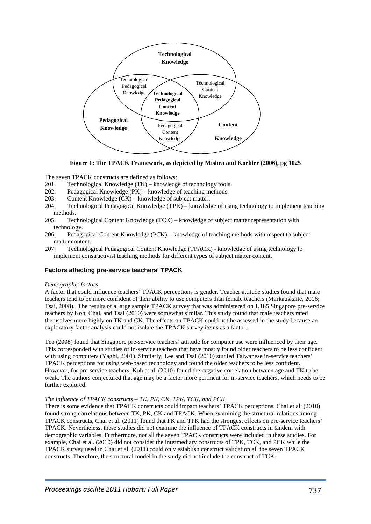

**Figure 1: The TPACK Framework, as depicted by Mishra and Koehler (2006), pg 1025**

The seven TPACK constructs are defined as follows:

- 201. Technological Knowledge (TK) knowledge of technology tools.
- 202. Pedagogical Knowledge (PK) knowledge of teaching methods.<br>203. Content Knowledge (CK) knowledge of subject matter.
- Content Knowledge  $(CK)$  knowledge of subject matter.
- 204. Technological Pedagogical Knowledge (TPK) knowledge of using technology to implement teaching methods.
- 205. Technological Content Knowledge (TCK) knowledge of subject matter representation with technology.
- 206. Pedagogical Content Knowledge (PCK) knowledge of teaching methods with respect to subject matter content.
- 207. Technological Pedagogical Content Knowledge (TPACK) knowledge of using technology to implement constructivist teaching methods for different types of subject matter content.

#### **Factors affecting pre-service teachers' TPACK**

#### *Demographic factors*

A factor that could influence teachers' TPACK perceptions is gender. Teacher attitude studies found that male teachers tend to be more confident of their ability to use computers than female teachers (Markauskaite, 2006; Tsai, 2008). The results of a large sample TPACK survey that was administered on 1,185 Singapore pre-service teachers by Koh, Chai, and Tsai (2010) were somewhat similar. This study found that male teachers rated themselves more highly on TK and CK. The effects on TPACK could not be assessed in the study because an exploratory factor analysis could not isolate the TPACK survey items as a factor.

Teo (2008) found that Singapore pre-service teachers' attitude for computer use were influenced by their age. This corresponded with studies of in-service teachers that have mostly found older teachers to be less confident with using computers (Yaghi, 2001). Similarly, Lee and Tsai (2010) studied Taiwanese in-service teachers' TPACK perceptions for using web-based technology and found the older teachers to be less confident. However, for pre-service teachers, Koh et al. (2010) found the negative correlation between age and TK to be weak. The authors conjectured that age may be a factor more pertinent for in-service teachers, which needs to be further explored.

#### *The influence of TPACK constructs – TK, PK, CK, TPK, TCK, and PCK*

There is some evidence that TPACK constructs could impact teachers' TPACK perceptions. Chai et al. (2010) found strong correlations between TK, PK, CK and TPACK. When examining the structural relations among TPACK constructs, Chai et al. (2011) found that PK and TPK had the strongest effects on pre-service teachers' TPACK. Nevertheless, these studies did not examine the influence of TPACK constructs in tandem with demographic variables. Furthermore, not all the seven TPACK constructs were included in these studies. For example, Chai et al. (2010) did not consider the intermediary constructs of TPK, TCK, and PCK while the TPACK survey used in Chai et al. (2011) could only establish construct validation all the seven TPACK constructs. Therefore, the structural model in the study did not include the construct of TCK.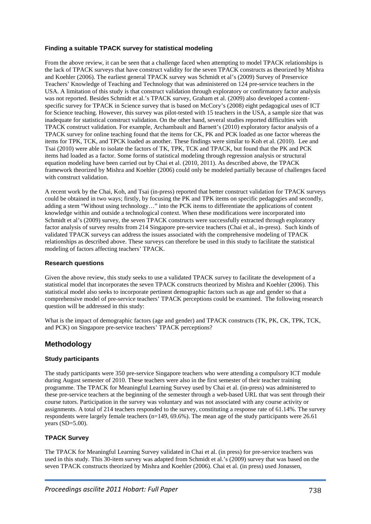#### **Finding a suitable TPACK survey for statistical modeling**

From the above review, it can be seen that a challenge faced when attempting to model TPACK relationships is the lack of TPACK surveys that have construct validity for the seven TPACK constructs as theorized by Mishra and Koehler (2006). The earliest general TPACK survey was Schmidt et al's (2009) Survey of Preservice Teachers' Knowledge of Teaching and Technology that was administered on 124 pre-service teachers in the USA. A limitation of this study is that construct validation through exploratory or confirmatory factor analysis was not reported. Besides Schmidt et al.'s TPACK survey, Graham et al. (2009) also developed a contentspecific survey for TPACK in Science survey that is based on McCory's (2008) eight pedagogical uses of ICT for Science teaching. However, this survey was pilot-tested with 15 teachers in the USA, a sample size that was inadequate for statistical construct validation. On the other hand, several studies reported difficulties with TPACK construct validation. For example, Archambault and Barnett's (2010) exploratory factor analysis of a TPACK survey for online teaching found that the items for CK, PK and PCK loaded as one factor whereas the items for TPK, TCK, and TPCK loaded as another. These findings were similar to Koh et al. (2010). Lee and Tsai (2010) were able to isolate the factors of TK, TPK, TCK and TPACK, but found that the PK and PCK items had loaded as a factor. Some forms of statistical modeling through regression analysis or structural equation modeling have been carried out by Chai et al. (2010, 2011). As described above, the TPACK framework theorized by Mishra and Koehler (2006) could only be modeled partially because of challenges faced with construct validation.

A recent work by the Chai, Koh, and Tsai (in-press) reported that better construct validation for TPACK surveys could be obtained in two ways; firstly, by focusing the PK and TPK items on specific pedagogies and secondly, adding a stem "Without using technology…" into the PCK items to differentiate the applications of content knowledge within and outside a technological context. When these modifications were incorporated into Schmidt et al's (2009) survey, the seven TPACK constructs were successfully extracted through exploratory factor analysis of survey results from 214 Singapore pre-service teachers (Chai et al., in-press). Such kinds of validated TPACK surveys can address the issues associated with the comprehensive modeling of TPACK relationships as described above. These surveys can therefore be used in this study to facilitate the statistical modeling of factors affecting teachers' TPACK.

#### **Research questions**

Given the above review, this study seeks to use a validated TPACK survey to facilitate the development of a statistical model that incorporates the seven TPACK constructs theorized by Mishra and Koehler (2006). This statistical model also seeks to incorporate pertinent demographic factors such as age and gender so that a comprehensive model of pre-service teachers' TPACK perceptions could be examined. The following research question will be addressed in this study:

What is the impact of demographic factors (age and gender) and TPACK constructs (TK, PK, CK, TPK, TCK, and PCK) on Singapore pre-service teachers' TPACK perceptions?

### **Methodology**

#### **Study participants**

The study participants were 350 pre-service Singapore teachers who were attending a compulsory ICT module during August semester of 2010. These teachers were also in the first semester of their teacher training programme. The TPACK for Meaningful Learning Survey used by Chai et al. (in-press) was administered to these pre-service teachers at the beginning of the semester through a web-based URL that was sent through their course tutors. Participation in the survey was voluntary and was not associated with any course activity or assignments. A total of 214 teachers responded to the survey, constituting a response rate of 61.14%. The survey respondents were largely female teachers ( $n=149, 69.6\%$ ). The mean age of the study participants were 26.61 years (SD=5.00).

#### **TPACK Survey**

The TPACK for Meaningful Learning Survey validated in Chai et al. (in press) for pre-service teachers was used in this study. This 30-item survey was adapted from Schmidt et al.'s (2009) survey that was based on the seven TPACK constructs theorized by Mishra and Koehler (2006). Chai et al. (in press) used Jonassen,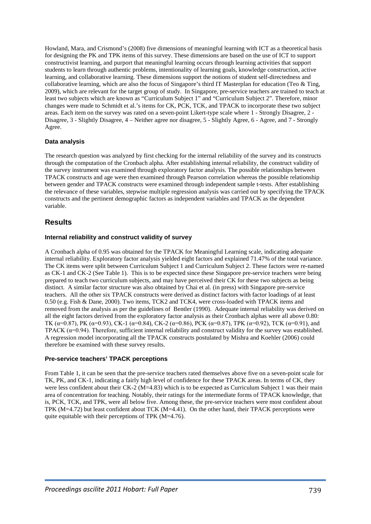Howland, Mara, and Crismond's (2008) five dimensions of meaningful learning with ICT as a theoretical basis for designing the PK and TPK items of this survey. These dimensions are based on the use of ICT to support constructivist learning, and purport that meaningful learning occurs through learning activities that support students to learn through authentic problems, intentionality of learning goals, knowledge construction, active learning, and collaborative learning. These dimensions support the notions of student self-directedness and collaborative learning, which are also the focus of Singapore's third IT Masterplan for education (Teo & Ting, 2009), which are relevant for the target group of study. In Singapore, pre-service teachers are trained to teach at least two subjects which are known as "Curriculum Subject 1" and "Curriculum Subject 2". Therefore, minor changes were made to Schmidt et al.'s items for CK, PCK, TCK, and TPACK to incorporate these two subject areas. Each item on the survey was rated on a seven-point Likert-type scale where 1 - Strongly Disagree, 2 - Disagree, 3 - Slightly Disagree, 4 – Neither agree nor disagree, 5 - Slightly Agree, 6 - Agree, and 7 - Strongly Agree.

#### **Data analysis**

The research question was analyzed by first checking for the internal reliability of the survey and its constructs through the computation of the Cronbach alpha. After establishing internal reliability, the construct validity of the survey instrument was examined through exploratory factor analysis. The possible relationships between TPACK constructs and age were then examined through Pearson correlation whereas the possible relationship between gender and TPACK constructs were examined through independent sample t-tests. After establishing the relevance of these variables, stepwise multiple regression analysis was carried out by specifying the TPACK constructs and the pertinent demographic factors as independent variables and TPACK as the dependent variable.

### **Results**

#### **Internal reliability and construct validity of survey**

A Cronbach alpha of 0.95 was obtained for the TPACK for Meaningful Learning scale, indicating adequate internal reliability. Exploratory factor analysis yielded eight factors and explained 71.47% of the total variance. The CK items were split between Curriculum Subject 1 and Curriculum Subject 2. These factors were re-named as CK-1 and CK-2 (See Table 1). This is to be expected since these Singapore pre-service teachers were being prepared to teach two curriculum subjects, and may have perceived their CK for these two subjects as being distinct. A similar factor structure was also obtained by Chai et al. (in press) with Singapore pre-service teachers. All the other six TPACK constructs were derived as distinct factors with factor loadings of at least 0.50 (e.g. Fish & Dane, 2000). Two items, TCK2 and TCK4, were cross-loaded with TPACK items and removed from the analysis as per the guidelines of Bentler (1990). Adequate internal reliability was derived on all the eight factors derived from the exploratory factor analysis as their Cronbach alphas were all above 0.80: TK ( $\alpha$ =0.87), PK ( $\alpha$ =0.93), CK-1 ( $\alpha$ =0.84), CK-2 ( $\alpha$ =0.86), PCK ( $\alpha$ =0.87), TPK ( $\alpha$ =0.92), TCK ( $\alpha$ =0.91), and TPACK  $(\alpha=0.94)$ . Therefore, sufficient internal reliability and construct validity for the survey was established. A regression model incorporating all the TPACK constructs postulated by Mishra and Koehler (2006) could therefore be examined with these survey results.

#### **Pre-service teachers' TPACK perceptions**

From Table 1, it can be seen that the pre-service teachers rated themselves above five on a seven-point scale for TK, PK, and CK-1, indicating a fairly high level of confidence for these TPACK areas. In terms of CK, they were less confident about their CK-2 (M=4.83) which is to be expected as Curriculum Subject 1 was their main area of concentration for teaching. Notably, their ratings for the intermediate forms of TPACK knowledge, that is, PCK, TCK, and TPK, were all below five. Among these, the pre-service teachers were most confident about TPK (M=4.72) but least confident about TCK (M=4.41). On the other hand, their TPACK perceptions were quite equitable with their perceptions of TPK (M=4.76).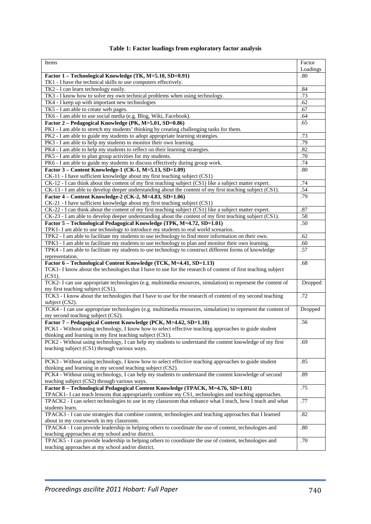## **Table 1: Factor loadings from exploratory factor analysis**

| Items                                                                                                         | Factor<br>Loadings |  |  |  |  |  |
|---------------------------------------------------------------------------------------------------------------|--------------------|--|--|--|--|--|
| Factor 1 - Technological Knowledge (TK, M=5.10, SD=0.91)                                                      | .80                |  |  |  |  |  |
| TK1 - I have the technical skills to use computers effectively.                                               |                    |  |  |  |  |  |
| TK2 - I can learn technology easily.                                                                          | .84                |  |  |  |  |  |
| TK3 - I know how to solve my own technical problems when using technology.                                    |                    |  |  |  |  |  |
| TK4 - I keep up with important new technologies                                                               | .62                |  |  |  |  |  |
| TK5 - I am able to create web pages.                                                                          |                    |  |  |  |  |  |
| TK6 - I am able to use social media (e.g. Blog, Wiki, Facebook).                                              | .64                |  |  |  |  |  |
| Factor 2 – Pedagogical Knowledge (PK, M=5.01, SD=0.86)                                                        | .65                |  |  |  |  |  |
| PK1 - I am able to stretch my students' thinking by creating challenging tasks for them.                      |                    |  |  |  |  |  |
| PK2 - I am able to guide my students to adopt appropriate learning strategies.                                |                    |  |  |  |  |  |
| PK3 - I am able to help my students to monitor their own learning.                                            | .79                |  |  |  |  |  |
| PK4 - I am able to help my students to reflect on their learning strategies.                                  | .82                |  |  |  |  |  |
| PK5 - I am able to plan group activities for my students.                                                     | .70                |  |  |  |  |  |
| PK6 - I am able to guide my students to discuss effectively during group work.                                | .74                |  |  |  |  |  |
| Factor 3 - Content Knowledge-1 (CK-1, M=5.13, SD=1.09)                                                        | .80                |  |  |  |  |  |
| CK-11 - I have sufficient knowledge about my first teaching subject (CS1)                                     |                    |  |  |  |  |  |
| CK-12 - I can think about the content of my first teaching subject (CS1) like a subject matter expert.        | .74                |  |  |  |  |  |
| CK-13 - I am able to develop deeper understanding about the content of my first teaching subject (CS1).       | .54                |  |  |  |  |  |
| Factor 4 - Content Knowledge-2 (CK-2, M=4.83, SD=1.06)                                                        | .79                |  |  |  |  |  |
| CK-21 - I have sufficient knowledge about my first teaching subject (CS1)                                     |                    |  |  |  |  |  |
| CK-22 - I can think about the content of my first teaching subject (CS1) like a subject matter expert.        | .87                |  |  |  |  |  |
| CK-23 - I am able to develop deeper understanding about the content of my first teaching subject (CS1).       | .58                |  |  |  |  |  |
| Factor 5 - Technological Pedagogical Knowledge (TPK, M=4.72, SD=1.01)                                         | .50                |  |  |  |  |  |
| TPK1-I am able to use technology to introduce my students to real world scenarios.                            |                    |  |  |  |  |  |
| TPK2 - I am able to facilitate my students to use technology to find more information on their own.           | .62                |  |  |  |  |  |
| TPK3 - I am able to facilitate my students to use technology to plan and monitor their own learning.          | .60                |  |  |  |  |  |
| TPK4 - I am able to facilitate my students to use technology to construct different forms of knowledge        | .57                |  |  |  |  |  |
| representation.                                                                                               |                    |  |  |  |  |  |
| Factor 6 - Technological Content Knowledge (TCK, M=4.41, SD=1.13)                                             | .68                |  |  |  |  |  |
| TCK1- I know about the technologies that I have to use for the research of content of first teaching subject  |                    |  |  |  |  |  |
| $(CS1)$ .                                                                                                     |                    |  |  |  |  |  |
| TCK2- I can use appropriate technologies (e.g. multimedia resources, simulation) to represent the content of  | Dropped            |  |  |  |  |  |
| my first teaching subject (CS1).                                                                              |                    |  |  |  |  |  |
| TCK3 - I know about the technologies that I have to use for the research of content of my second teaching     | .72                |  |  |  |  |  |
| subject (CS2).                                                                                                |                    |  |  |  |  |  |
| TCK4 - I can use appropriate technologies (e.g. multimedia resources, simulation) to represent the content of | Dropped            |  |  |  |  |  |
| my second teaching subject (CS2).                                                                             |                    |  |  |  |  |  |
| Factor 7 - Pedagogical Content Knowledge (PCK, M=4.62, SD=1.18)                                               | .56                |  |  |  |  |  |
| PCK1 - Without using technology, I know how to select effective teaching approaches to guide student          |                    |  |  |  |  |  |
| thinking and learning in my first teaching subject (CS1).                                                     |                    |  |  |  |  |  |
| PCK2 - Without using technology, I can help my students to understand the content knowledge of my first       | .69                |  |  |  |  |  |
| teaching subject (CS1) through various ways.                                                                  |                    |  |  |  |  |  |
|                                                                                                               |                    |  |  |  |  |  |
| PCK3 - Without using technology, I know how to select effective teaching approaches to guide student          | .85                |  |  |  |  |  |
| thinking and learning in my second teaching subject (CS2).                                                    |                    |  |  |  |  |  |
| PCK4 - Without using technology, I can help my students to understand the content knowledge of second         | .89                |  |  |  |  |  |
| teaching subject (CS2) through various ways.                                                                  |                    |  |  |  |  |  |
| Factor 8 - Technological Pedagogical Content Knowledge (TPACK, M=4.76, SD=1.01)                               | .75                |  |  |  |  |  |
| TPACK1- I can teach lessons that appropriately combine my CS1, technologies and teaching approaches.          |                    |  |  |  |  |  |
| TPACK2 - I can select technologies to use in my classroom that enhance what I teach, how I teach and what     | .77                |  |  |  |  |  |
| students learn.                                                                                               |                    |  |  |  |  |  |
| TPACK3 - I can use strategies that combine content, technologies and teaching approaches that I learned       | .82                |  |  |  |  |  |
| about in my coursework in my classroom.                                                                       |                    |  |  |  |  |  |
| TPACK4 - I can provide leadership in helping others to coordinate the use of content, technologies and        | .80                |  |  |  |  |  |
| teaching approaches at my school and/or district.                                                             |                    |  |  |  |  |  |
| TPACK5 - I can provide leadership in helping others to coordinate the use of content, technologies and        | .70                |  |  |  |  |  |
| teaching approaches at my school and/or district.                                                             |                    |  |  |  |  |  |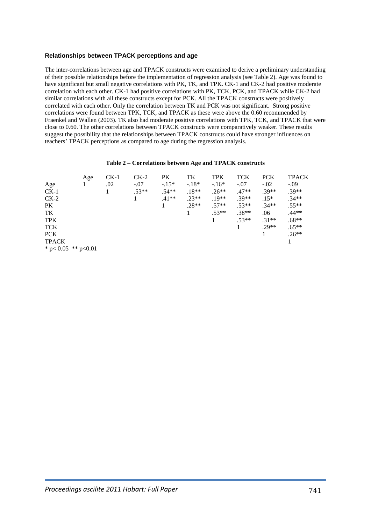#### **Relationships between TPACK perceptions and age**

The inter-correlations between age and TPACK constructs were examined to derive a preliminary understanding of their possible relationships before the implementation of regression analysis (see Table 2). Age was found to have significant but small negative correlations with PK, TK, and TPK. CK-1 and CK-2 had positive moderate correlation with each other. CK-1 had positive correlations with PK, TCK, PCK, and TPACK while CK-2 had similar correlations with all these constructs except for PCK. All the TPACK constructs were positively correlated with each other. Only the correlation between TK and PCK was not significant. Strong positive correlations were found between TPK, TCK, and TPACK as these were above the 0.60 recommended by Fraenkel and Wallen (2003). TK also had moderate positive correlations with TPK, TCK, and TPACK that were close to 0.60. The other correlations between TPACK constructs were comparatively weaker. These results suggest the possibility that the relationships between TPACK constructs could have stronger influences on teachers' TPACK perceptions as compared to age during the regression analysis.

#### **Table 2 – Correlations between Age and TPACK constructs**

|                            | Age | $CK-1$ | $CK-2$  | <b>PK</b> | TK      | <b>TPK</b> | <b>TCK</b> | <b>PCK</b> | <b>TPACK</b> |
|----------------------------|-----|--------|---------|-----------|---------|------------|------------|------------|--------------|
| Age                        |     | .02    | $-.07$  | $-.15*$   | $-.18*$ | $-16*$     | $-.07$     | $-.02$     | $-.09$       |
| $CK-1$                     |     |        | $.53**$ | $.54**$   | $.18**$ | $.26**$    | $.47**$    | $.39**$    | $.39**$      |
| $CK-2$                     |     |        |         | $.41**$   | $.23**$ | $.19**$    | $.39**$    | $.15*$     | $.34**$      |
| <b>PK</b>                  |     |        |         |           | $.28**$ | $.57**$    | $.53**$    | $.34**$    | $.55**$      |
| TK                         |     |        |         |           |         | $.53**$    | $.38**$    | .06        | $.44**$      |
| <b>TPK</b>                 |     |        |         |           |         |            | $.53**$    | $.31**$    | $.68**$      |
| <b>TCK</b>                 |     |        |         |           |         |            |            | $.29**$    | $.65**$      |
| <b>PCK</b>                 |     |        |         |           |         |            |            |            | $.26**$      |
| <b>TPACK</b>               |     |        |         |           |         |            |            |            | 1            |
| * $p < 0.05$ ** $p < 0.01$ |     |        |         |           |         |            |            |            |              |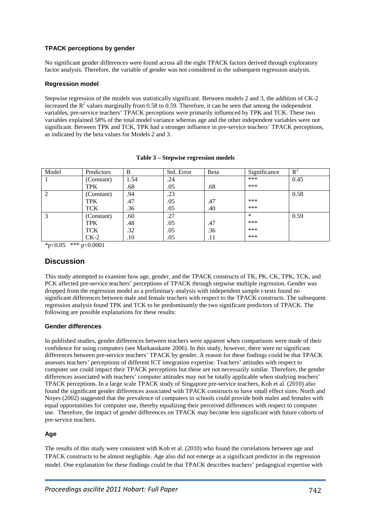### **TPACK perceptions by gender**

No significant gender differences were found across all the eight TPACK factors derived through exploratory factor analysis. Therefore, the variable of gender was not considered in the subsequent regression analysis.

#### **Regression model**

Stepwise regression of the models was statistically significant. Between models 2 and 3, the addition of CK-2 increased the  $R^2$  values marginally from 0.58 to 0.59. Therefore, it can be seen that among the independent variables, pre-service teachers' TPACK perceptions were primarily influenced by TPK and TCK. These two variables explained 58% of the total model variance whereas age and the other independent variables were not significant. Between TPK and TCK, TPK had a stronger influence in pre-service teachers' TPACK perceptions, as indicated by the beta values for Models 2 and 3.

| Model                       | Predictors | B    | Std. Error | Beta | Significance | $R^2$ |
|-----------------------------|------------|------|------------|------|--------------|-------|
|                             | (Constant) | 1.54 | .24        |      | ***          | 0.45  |
|                             | <b>TPK</b> | .68  | .05        | .68  | ***          |       |
| $\mathcal{D}_{\mathcal{L}}$ | (Constant) | .94  | .23        |      |              | 0.58  |
|                             | <b>TPK</b> | .47  | .05        | .47  | ***          |       |
|                             | <b>TCK</b> | .36  | .05        | .40  | ***          |       |
|                             | (Constant) | .60  | .27        |      | $\ast$       | 0.59  |
|                             | <b>TPK</b> | .48  | .05        | .47  | ***          |       |
|                             | <b>TCK</b> | .32  | .05        | .36  | ***          |       |
|                             | $CK-2$     | .10  | .05        | .11  | ***          |       |

#### **Table 3 – Stepwise regression models**

 $*_{p<0.05}$  \*\*\* p<0.0001

### **Discussion**

This study attempted to examine how age, gender, and the TPACK constructs of TK, PK, CK, TPK, TCK, and PCK affected pre-service teachers' perceptions of TPACK through stepwise multiple regression. Gender was dropped from the regression model as a preliminary analysis with independent sample t-tests found no significant differences between male and female teachers with respect to the TPACK constructs. The subsequent regression analysis found TPK and TCK to be predominantly the two significant predictors of TPACK. The following are possible explanations for these results:

#### **Gender differences**

In published studies, gender differences between teachers were apparent when comparisons were made of their confidence for using computers (see Markauskaite 2006). In this study, however, there were no significant differences between pre-service teachers' TPACK by gender. A reason for these findings could be that TPACK assesses teachers' perceptions of different ICT integration expertise. Teachers' attitudes with respect to computer use could impact their TPACK perceptions but these are not necessarily similar. Therefore, the gender differences associated with teachers' computer attitudes may not be totally applicable when studying teachers' TPACK perceptions. In a large scale TPACK study of Singapore pre-service teachers, Koh et al. (2010) also found the significant gender differences associated with TPACK constructs to have small effect sizes. North and Noyes (2002) suggested that the prevalence of computers in schools could provide both males and females with equal opportunities for computer use, thereby equalizing their perceived differences with respect to computer use. Therefore, the impact of gender differences on TPACK may become less significant with future cohorts of pre-service teachers.

#### **Age**

The results of this study were consistent with Koh et al. (2010) who found the correlations between age and TPACK constructs to be almost negligible. Age also did not emerge as a significant predictor in the regression model. One explanation for these findings could be that TPACK describes teachers' pedagogical expertise with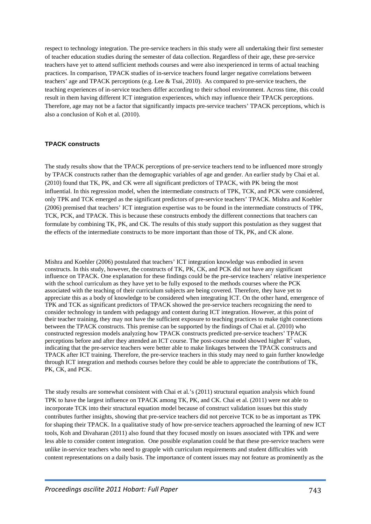respect to technology integration. The pre-service teachers in this study were all undertaking their first semester of teacher education studies during the semester of data collection. Regardless of their age, these pre-service teachers have yet to attend sufficient methods courses and were also inexperienced in terms of actual teaching practices. In comparison, TPACK studies of in-service teachers found larger negative correlations between teachers' age and TPACK perceptions (e.g. Lee & Tsai, 2010). As compared to pre-service teachers, the teaching experiences of in-service teachers differ according to their school environment. Across time, this could result in them having different ICT integration experiences, which may influence their TPACK perceptions. Therefore, age may not be a factor that significantly impacts pre-service teachers' TPACK perceptions, which is also a conclusion of Koh et al. (2010).

#### **TPACK constructs**

The study results show that the TPACK perceptions of pre-service teachers tend to be influenced more strongly by TPACK constructs rather than the demographic variables of age and gender. An earlier study by Chai et al. (2010) found that TK, PK, and CK were all significant predictors of TPACK, with PK being the most influential. In this regression model, when the intermediate constructs of TPK, TCK, and PCK were considered, only TPK and TCK emerged as the significant predictors of pre-service teachers' TPACK. Mishra and Koehler (2006) premised that teachers' ICT integration expertise was to be found in the intermediate constructs of TPK, TCK, PCK, and TPACK. This is because these constructs embody the different connections that teachers can formulate by combining TK, PK, and CK. The results of this study support this postulation as they suggest that the effects of the intermediate constructs to be more important than those of TK, PK, and CK alone.

Mishra and Koehler (2006) postulated that teachers' ICT integration knowledge was embodied in seven constructs. In this study, however, the constructs of TK, PK, CK, and PCK did not have any significant influence on TPACK. One explanation for these findings could be the pre-service teachers' relative inexperience with the school curriculum as they have yet to be fully exposed to the methods courses where the PCK associated with the teaching of their curriculum subjects are being covered. Therefore, they have yet to appreciate this as a body of knowledge to be considered when integrating ICT. On the other hand, emergence of TPK and TCK as significant predictors of TPACK showed the pre-service teachers recognizing the need to consider technology in tandem with pedagogy and content during ICT integration. However, at this point of their teacher training, they may not have the sufficient exposure to teaching practices to make tight connections between the TPACK constructs. This premise can be supported by the findings of Chai et al. (2010) who constructed regression models analyzing how TPACK constructs predicted pre-service teachers' TPACK perceptions before and after they attended an ICT course. The post-course model showed higher  $R^2$  values, indicating that the pre-service teachers were better able to make linkages between the TPACK constructs and TPACK after ICT training. Therefore, the pre-service teachers in this study may need to gain further knowledge through ICT integration and methods courses before they could be able to appreciate the contributions of TK, PK, CK, and PCK.

The study results are somewhat consistent with Chai et al.'s (2011) structural equation analysis which found TPK to have the largest influence on TPACK among TK, PK, and CK. Chai et al. (2011) were not able to incorporate TCK into their structural equation model because of construct validation issues but this study contributes further insights, showing that pre-service teachers did not perceive TCK to be as important as TPK for shaping their TPACK. In a qualitative study of how pre-service teachers approached the learning of new ICT tools, Koh and Divaharan (2011) also found that they focused mostly on issues associated with TPK and were less able to consider content integration. One possible explanation could be that these pre-service teachers were unlike in-service teachers who need to grapple with curriculum requirements and student difficulties with content representations on a daily basis. The importance of content issues may not feature as prominently as the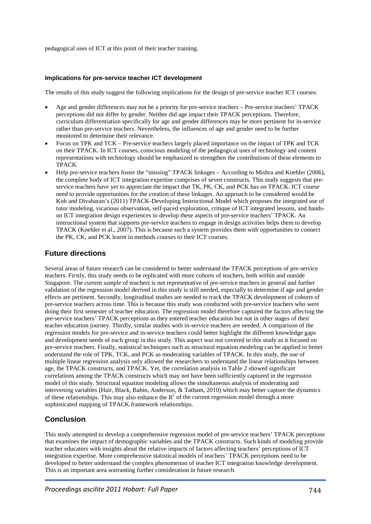pedagogical uses of ICT at this point of their teacher training.

#### **Implications for pre-service teacher ICT development**

The results of this study suggest the following implications for the design of pre-service teacher ICT courses:

- Age and gender differences may not be a priority for pre-service teachers Pre-service teachers' TPACK perceptions did not differ by gender. Neither did age impact their TPACK perceptions. Therefore, curriculum differentiation specifically for age and gender differences may be more pertinent for in-service rather than pre-service teachers. Nevertheless, the influences of age and gender need to be further monitored to determine their relevance.
- Focus on TPK and TCK Pre-service teachers largely placed importance on the impact of TPK and TCK on their TPACK. In ICT courses, conscious modeling of the pedagogical uses of technology and content representations with technology should be emphasized to strengthen the contributions of these elements to TPACK.
- Help pre-service teachers foster the "missing" TPACK linkages According to Mishra and Koehler (2006), the complete body of ICT integration expertise comprises of seven constructs. This study suggests that preservice teachers have yet to appreciate the impact that TK, PK, CK, and PCK has on TPACK. ICT course need to provide opportunities for the creation of these linkages. An approach to be considered would be Koh and Divaharan's (2011) TPACK-Developing Instructional Model which proposes the integrated use of tutor modeling, vicarious observation, self-paced exploration, critique of ICT integrated lessons, and handson ICT integration design experiences to develop these aspects of pre-service teachers' TPACK. An instructional system that supports pre-service teachers to engage in design activities helps them to develop TPACK (Koehler et al., 2007). This is because such a system provides them with opportunities to connect the PK, CK, and PCK learnt in methods courses to their ICT courses.

# **Future directions**

Several areas of future research can be considered to better understand the TPACK perceptions of pre-service teachers. Firstly, this study needs to be replicated with more cohorts of teachers, both within and outside Singapore. The current sample of teachers is not representative of pre-service teachers in general and further validation of the regression model derived in this study is still needed, especially to determine if age and gender effects are pertinent. Secondly, longitudinal studies are needed to track the TPACK development of cohorts of pre-service teachers across time. This is because this study was conducted with pre-service teachers who were doing their first semester of teacher education. The regression model therefore captured the factors affecting the pre-service teachers' TPACK perceptions as they entered teacher education but not in other stages of their teacher education journey. Thirdly, similar studies with in-service teachers are needed. A comparison of the regression models for pre-service and in-service teachers could better highlight the different knowledge gaps and development needs of each group in this study. This aspect was not covered in this study as it focused on pre-service teachers. Finally, statistical techniques such as structural equation modeling can be applied to better understand the role of TPK, TCK, and PCK as moderating variables of TPACK. In this study, the use of multiple linear regression analysis only allowed the researchers to understand the linear relationships between age, the TPACK constructs, and TPACK. Yet, the correlation analysis in Table 2 showed significant correlations among the TPACK constructs which may not have been sufficiently captured in the regression model of this study. Structural equation modeling allows the simultaneous analysis of moderating and intervening variables (Hair, Black, Babin, Anderson, & Tatham, 2010) which may better capture the dynamics of these relationships. This may also enhance the  $R^2$  of the current regression model through a more sophisticated mapping of TPACK framework relationships.

# **Conclusion**

This study attempted to develop a comprehensive regression model of pre-service teachers' TPACK perceptions that examines the impact of demographic variables and the TPACK constructs. Such kinds of modeling provide teacher educators with insights about the relative impacts of factors affecting teachers' perceptions of ICT integration expertise. More comprehensive statistical models of teachers' TPACK perceptions need to be developed to better understand the complex phenomenon of teacher ICT integration knowledge development. This is an important area warranting further consideration in future research.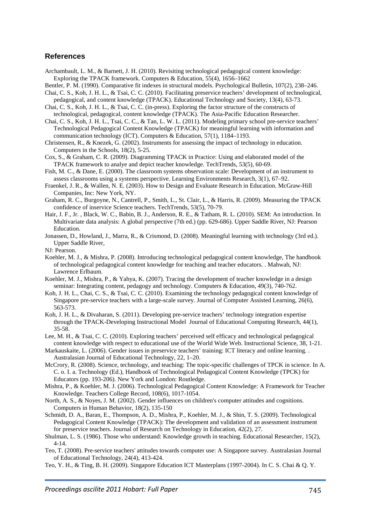### **References**

- Archambault, L. M., & Barnett, J. H. (2010). Revisiting technological pedagogical content knowledge: Exploring the TPACK framework. Computers & Education, 55(4), 1656–1662
- Bentler, P. M. (1990). Comparative fit indexes in structural models. Psychological Bulletin, 107(2), 238–246.
- Chai, C. S., Koh, J. H. L., & Tsai, C. C. (2010). Facilitating preservice teachers' development of technological, pedagogical, and content knowledge (TPACK). Educational Technology and Society, 13(4), 63-73.
- Chai, C. S., Koh, J. H. L., & Tsai, C. C. (in-press). Exploring the factor structure of the constructs of technological, pedagogical, content knowledge (TPACK). The Asia-Pacific Education Researcher.
- Chai, C. S., Koh, J. H. L., Tsai, C. C., & Tan, L. W. L. (2011). Modeling primary school pre-service teachers' Technological Pedagogical Content Knowledge (TPACK) for meaningful learning with information and communication technology (ICT). Computers & Education, 57(1), 1184–1193.
- Christensen, R., & Knezek, G. (2002). Instruments for assessing the impact of technology in education. Computers in the Schools, 18(2), 5-25.
- Cox, S., & Graham, C. R. (2009). Diagramming TPACK in Practice: Using and elaborated model of the TPACK framework to analye and depict teacher knowledge. TechTrends, 53(5), 60-69.
- Fish, M. C., & Dane, E. (2000). The classroom systems observation scale: Development of an instrument to assess classrooms using a systems perspective. Learning Environments Research, 3(1), 67–92.
- Fraenkel, J. R., & Wallen, N. E. (2003). How to Design and Evaluate Research in Education. McGraw-Hill Companies, Inc: New York, NY.
- Graham, R. C., Burgoyne, N., Cantrell, P., Smith, L., St. Clair, L., & Harris, R. (2009). Measuring the TPACK confidence of inservice Science teachers. TechTrends, 53(5), 70-79.
- Hair, J. F., Jr. , Black, W. C., Babin, B. J., Anderson, R. E., & Tatham, R. L. (2010). SEM: An introduction. In Multivariate data analysis: A global perspective (7th ed.) (pp. 629-686). Upper Saddle River, NJ: Pearson Education.
- Jonassen, D., Howland, J., Marra, R., & Crismond, D. (2008). Meaningful learning with technology (3rd ed.). Upper Saddle River,

NJ: Pearson.

- Koehler, M. J., & Mishra, P. (2008). Introducing technological pedagogical content knowledge, The handbook of technological pedagogical content knowledge for teaching and teacher educators. . Mahwah, NJ: Lawrence Erlbaum.
- Koehler, M. J., Mishra, P., & Yahya, K. (2007). Tracing the development of teacher knowledge in a design seminar: Integrating content, pedagogy and technology. Computers & Education, 49(3), 740-762.
- Koh, J. H. L., Chai, C. S., & Tsai, C. C. (2010). Examining the technology pedagogical content knowledge of Singapore pre-service teachers with a large-scale survey. Journal of Computer Assisted Learning, 26(6), 563-573.
- Koh, J. H. L., & Divaharan, S. (2011). Developing pre-service teachers' technology integration expertise through the TPACK-Developing Instructional Model Journal of Educational Computing Research, 44(1), 35-58.
- Lee, M. H., & Tsai, C. C. (2010). Exploring teachers' perceived self efficacy and technological pedagogical content knowledge with respect to educational use of the World Wide Web. Instructional Science, 38, 1-21.
- Markauskaite, L. (2006). Gender issues in preservice teachers' training: ICT literacy and online learning. . Australasian Journal of Educational Technology, 22, 1–20.
- McCrory, R. (2008). Science, technology, and teaching: The topic-specific challenges of TPCK in science. In A. C. o. I. a. Technology (Ed.), Handbook of Technological Pedagogical Content Knowledge (TPCK) for Educators (pp. 193-206). New York and London: Routledge.
- Mishra, P., & Koehler, M. J. (2006). Technological Pedagogical Content Knowledge: A Framework for Teacher Knowledge. Teachers College Record, 108(6), 1017-1054.
- North, A. S., & Noyes, J. M. (2002). Gender influences on children's computer attitudes and cognitions. Computers in Human Behavior, 18(2), 135-150
- Schmidt, D. A., Baran, E., Thompson, A. D., Mishra, P., Koehler, M. J., & Shin, T. S. (2009). Technological Pedagogical Content Knowledge (TPACK): The development and validation of an assessment instrument for preservice teachers. Journal of Research on Technology in Education, 42(2), 27.
- Shulman, L. S. (1986). Those who understand: Knowledge growth in teaching. Educational Researcher, 15(2), 4-14.
- Teo, T. (2008). Pre-service teachers' attitudes towards computer use: A Singapore survey. Australasian Journal of Educational Technology, 24(4), 413-424.
- Teo, Y. H., & Ting, B. H. (2009). Singapore Education ICT Masterplans (1997-2004). In C. S. Chai & Q. Y.